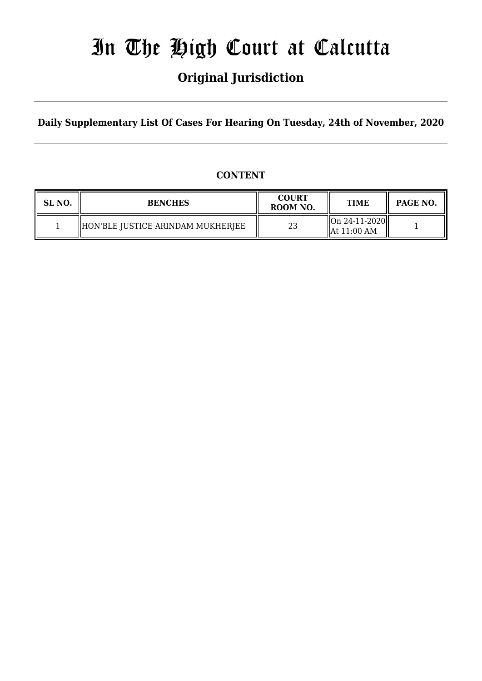# In The High Court at Calcutta

## **Original Jurisdiction**

**Daily Supplementary List Of Cases For Hearing On Tuesday, 24th of November, 2020**

#### **CONTENT**

| SL NO. | <b>BENCHES</b>                    | <b>COURT</b><br>ROOM NO. | <b>TIME</b>                                        | <b>PAGE NO.</b> |
|--------|-----------------------------------|--------------------------|----------------------------------------------------|-----------------|
|        | HON'BLE JUSTICE ARINDAM MUKHERJEE | ר ה<br>نت                | $\ $ On 24-11-2020 $\ $<br>$\parallel$ At 11:00 AM |                 |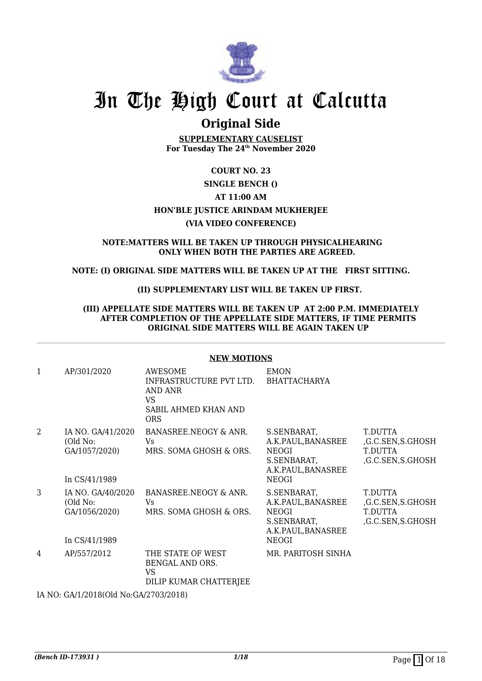

## In The High Court at Calcutta

### **Original Side**

**SUPPLEMENTARY CAUSELIST For Tuesday The 24th November 2020**

#### **COURT NO. 23**

#### **SINGLE BENCH () AT 11:00 AM HON'BLE JUSTICE ARINDAM MUKHERJEE (VIA VIDEO CONFERENCE)**

## **NOTE:MATTERS WILL BE TAKEN UP THROUGH PHYSICALHEARING**

#### **ONLY WHEN BOTH THE PARTIES ARE AGREED.**

#### **NOTE: (I) ORIGINAL SIDE MATTERS WILL BE TAKEN UP AT THE FIRST SITTING.**

#### **(II) SUPPLEMENTARY LIST WILL BE TAKEN UP FIRST.**

#### **(III) APPELLATE SIDE MATTERS WILL BE TAKEN UP AT 2:00 P.M. IMMEDIATELY AFTER COMPLETION OF THE APPELLATE SIDE MATTERS, IF TIME PERMITS ORIGINAL SIDE MATTERS WILL BE AGAIN TAKEN UP**

#### **NEW MOTIONS**

| $\mathbf{1}$   | AP/301/2020                                                     | AWESOME<br>INFRASTRUCTURE PVT LTD.<br>AND ANR<br>VS.<br>SABIL AHMED KHAN AND<br><b>ORS</b> | <b>EMON</b><br>BHATTACHARYA                                                                    |                                                            |
|----------------|-----------------------------------------------------------------|--------------------------------------------------------------------------------------------|------------------------------------------------------------------------------------------------|------------------------------------------------------------|
| $\overline{2}$ | IA NO. GA/41/2020<br>(Old No:<br>GA/1057/2020)<br>In CS/41/1989 | BANASREE.NEOGY & ANR.<br>Vs<br>MRS. SOMA GHOSH & ORS.                                      | S.SENBARAT,<br>A.K.PAUL,BANASREE<br>NEOGI<br>S.SENBARAT,<br>A.K.PAUL, BANASREE<br><b>NEOGI</b> | T.DUTTA<br>,G.C.SEN,S.GHOSH<br>T.DUTTA<br>,G.C.SEN,S.GHOSH |
| 3              | IA NO. GA/40/2020<br>(Old No:<br>GA/1056/2020)<br>In CS/41/1989 | BANASREE.NEOGY & ANR.<br>Vs.<br>MRS. SOMA GHOSH & ORS.                                     | S.SENBARAT,<br>A.K.PAUL,BANASREE<br>NEOGI<br>S.SENBARAT,<br>A.K.PAUL, BANASREE<br><b>NEOGI</b> | T.DUTTA<br>,G.C.SEN,S.GHOSH<br>T.DUTTA<br>,G.C.SEN,S.GHOSH |
| 4              | AP/557/2012                                                     | THE STATE OF WEST<br>BENGAL AND ORS.<br>VS<br>DILIP KUMAR CHATTERJEE                       | MR. PARITOSH SINHA                                                                             |                                                            |

IA NO: GA/1/2018(Old No:GA/2703/2018)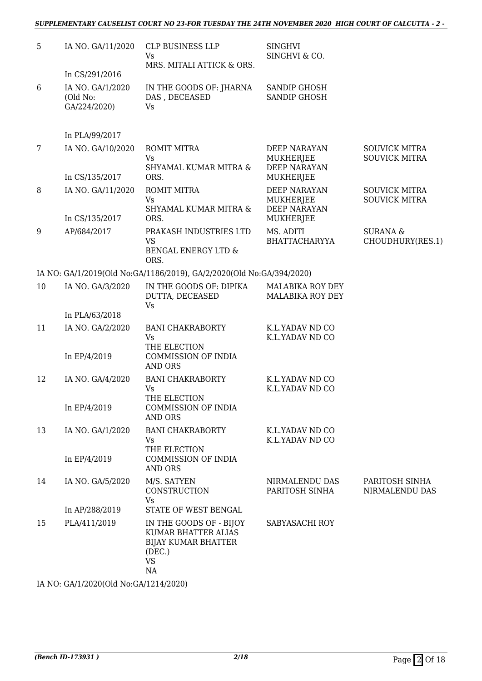#### *SUPPLEMENTARY CAUSELIST COURT NO 23-FOR TUESDAY THE 24TH NOVEMBER 2020 HIGH COURT OF CALCUTTA - 2 -*

| 5     | IA NO. GA/11/2020                            | CLP BUSINESS LLP<br>Vs<br>MRS. MITALI ATTICK & ORS.                                                       | <b>SINGHVI</b><br>SINGHVI & CO.                                             |                                              |
|-------|----------------------------------------------|-----------------------------------------------------------------------------------------------------------|-----------------------------------------------------------------------------|----------------------------------------------|
|       | In CS/291/2016                               |                                                                                                           |                                                                             |                                              |
| $6\,$ | IA NO. GA/1/2020<br>(Old No:<br>GA/224/2020) | IN THE GOODS OF: JHARNA<br>DAS, DECEASED<br>Vs                                                            | <b>SANDIP GHOSH</b><br><b>SANDIP GHOSH</b>                                  |                                              |
|       | In PLA/99/2017                               |                                                                                                           |                                                                             |                                              |
| 7     | IA NO. GA/10/2020                            | <b>ROMIT MITRA</b><br>Vs                                                                                  | DEEP NARAYAN<br><b>MUKHERJEE</b>                                            | <b>SOUVICK MITRA</b><br><b>SOUVICK MITRA</b> |
|       | In CS/135/2017                               | SHYAMAL KUMAR MITRA &<br>ORS.                                                                             | <b>DEEP NARAYAN</b><br>MUKHERJEE                                            |                                              |
| 8     | IA NO. GA/11/2020<br>In CS/135/2017          | <b>ROMIT MITRA</b><br>Vs<br>SHYAMAL KUMAR MITRA &<br>ORS.                                                 | <b>DEEP NARAYAN</b><br><b>MUKHERJEE</b><br><b>DEEP NARAYAN</b><br>MUKHERJEE | <b>SOUVICK MITRA</b><br><b>SOUVICK MITRA</b> |
| 9     | AP/684/2017                                  | PRAKASH INDUSTRIES LTD<br><b>VS</b><br>BENGAL ENERGY LTD &<br>ORS.                                        | MS. ADITI<br><b>BHATTACHARYYA</b>                                           | <b>SURANA &amp;</b><br>CHOUDHURY(RES.1)      |
|       |                                              | IA NO: GA/1/2019(Old No:GA/1186/2019), GA/2/2020(Old No:GA/394/2020)                                      |                                                                             |                                              |
| 10    | IA NO. GA/3/2020                             | IN THE GOODS OF: DIPIKA<br>DUTTA, DECEASED<br><b>Vs</b>                                                   | MALABIKA ROY DEY<br>MALABIKA ROY DEY                                        |                                              |
|       | In PLA/63/2018                               |                                                                                                           |                                                                             |                                              |
| 11    | IA NO. GA/2/2020                             | <b>BANI CHAKRABORTY</b><br>Vs<br>THE ELECTION                                                             | K.L.YADAV ND CO<br>K.L.YADAV ND CO                                          |                                              |
|       | In EP/4/2019                                 | <b>COMMISSION OF INDIA</b><br><b>AND ORS</b>                                                              |                                                                             |                                              |
| 12    | IA NO. GA/4/2020                             | <b>BANI CHAKRABORTY</b><br>Vs<br>THE ELECTION                                                             | K.L.YADAV ND CO<br>K.L.YADAV ND CO                                          |                                              |
|       | In EP/4/2019                                 | <b>COMMISSION OF INDIA</b><br><b>AND ORS</b>                                                              |                                                                             |                                              |
| 13    | IA NO. GA/1/2020                             | <b>BANI CHAKRABORTY</b><br>Vs<br>THE ELECTION                                                             | K.L.YADAV ND CO<br>K.L.YADAV ND CO                                          |                                              |
|       | In EP/4/2019                                 | <b>COMMISSION OF INDIA</b><br><b>AND ORS</b>                                                              |                                                                             |                                              |
| 14    | IA NO. GA/5/2020                             | M/S. SATYEN<br>CONSTRUCTION<br>Vs                                                                         | NIRMALENDU DAS<br>PARITOSH SINHA                                            | PARITOSH SINHA<br>NIRMALENDU DAS             |
|       | In AP/288/2019                               | STATE OF WEST BENGAL                                                                                      |                                                                             |                                              |
| 15    | PLA/411/2019                                 | IN THE GOODS OF - BIJOY<br>KUMAR BHATTER ALIAS<br><b>BIJAY KUMAR BHATTER</b><br>(DEC.)<br><b>VS</b><br>NA | SABYASACHI ROY                                                              |                                              |

IA NO: GA/1/2020(Old No:GA/1214/2020)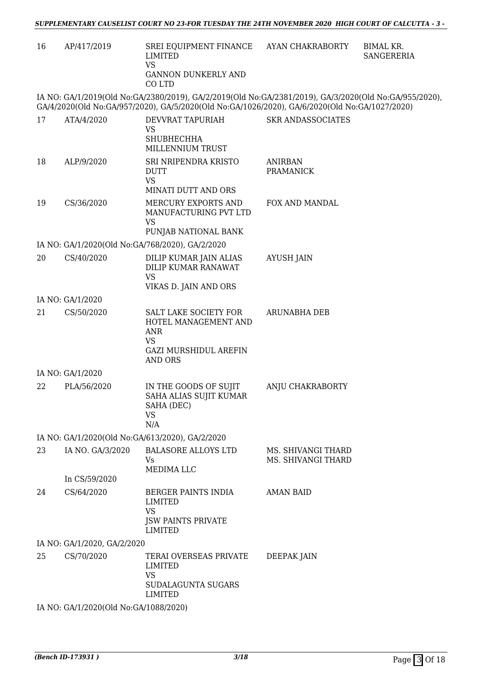| 16 | AP/417/2019                                                                                                                                                                                            | SREI EQUIPMENT FINANCE<br>LIMITED<br><b>VS</b><br><b>GANNON DUNKERLY AND</b><br>CO LTD                                     | AYAN CHAKRABORTY                         | <b>BIMAL KR.</b><br><b>SANGERERIA</b> |  |  |  |
|----|--------------------------------------------------------------------------------------------------------------------------------------------------------------------------------------------------------|----------------------------------------------------------------------------------------------------------------------------|------------------------------------------|---------------------------------------|--|--|--|
|    | IA NO: GA/1/2019(Old No:GA/2380/2019), GA/2/2019(Old No:GA/2381/2019), GA/3/2020(Old No:GA/955/2020),<br>GA/4/2020(Old No:GA/957/2020), GA/5/2020(Old No:GA/1026/2020), GA/6/2020(Old No:GA/1027/2020) |                                                                                                                            |                                          |                                       |  |  |  |
| 17 | ATA/4/2020                                                                                                                                                                                             | DEVVRAT TAPURIAH<br><b>VS</b><br><b>SHUBHECHHA</b><br>MILLENNIUM TRUST                                                     | <b>SKR ANDASSOCIATES</b>                 |                                       |  |  |  |
| 18 | ALP/9/2020                                                                                                                                                                                             | SRI NRIPENDRA KRISTO<br><b>DUTT</b><br><b>VS</b><br>MINATI DUTT AND ORS                                                    | <b>ANIRBAN</b><br><b>PRAMANICK</b>       |                                       |  |  |  |
| 19 | CS/36/2020                                                                                                                                                                                             | MERCURY EXPORTS AND<br>MANUFACTURING PVT LTD<br>VS<br>PUNJAB NATIONAL BANK                                                 | FOX AND MANDAL                           |                                       |  |  |  |
|    |                                                                                                                                                                                                        | IA NO: GA/1/2020(Old No:GA/768/2020), GA/2/2020                                                                            |                                          |                                       |  |  |  |
| 20 | CS/40/2020                                                                                                                                                                                             | DILIP KUMAR JAIN ALIAS<br><b>DILIP KUMAR RANAWAT</b><br><b>VS</b>                                                          | <b>AYUSH JAIN</b>                        |                                       |  |  |  |
|    |                                                                                                                                                                                                        | VIKAS D. JAIN AND ORS                                                                                                      |                                          |                                       |  |  |  |
|    | IA NO: GA/1/2020                                                                                                                                                                                       |                                                                                                                            |                                          |                                       |  |  |  |
| 21 | CS/50/2020                                                                                                                                                                                             | SALT LAKE SOCIETY FOR<br>HOTEL MANAGEMENT AND<br><b>ANR</b><br><b>VS</b><br><b>GAZI MURSHIDUL AREFIN</b><br><b>AND ORS</b> | <b>ARUNABHA DEB</b>                      |                                       |  |  |  |
|    | IA NO: GA/1/2020                                                                                                                                                                                       |                                                                                                                            |                                          |                                       |  |  |  |
| 22 | PLA/56/2020                                                                                                                                                                                            | IN THE GOODS OF SUJIT<br>SAHA ALIAS SUJIT KUMAR<br>SAHA (DEC)<br><b>VS</b><br>N/A                                          | ANJU CHAKRABORTY                         |                                       |  |  |  |
|    |                                                                                                                                                                                                        | IA NO: GA/1/2020(Old No:GA/613/2020), GA/2/2020                                                                            |                                          |                                       |  |  |  |
| 23 | IA NO. GA/3/2020                                                                                                                                                                                       | <b>BALASORE ALLOYS LTD</b><br>Vs<br><b>MEDIMALLC</b>                                                                       | MS. SHIVANGI THARD<br>MS. SHIVANGI THARD |                                       |  |  |  |
|    | In CS/59/2020                                                                                                                                                                                          |                                                                                                                            |                                          |                                       |  |  |  |
| 24 | CS/64/2020                                                                                                                                                                                             | BERGER PAINTS INDIA<br>LIMITED<br><b>VS</b><br><b>JSW PAINTS PRIVATE</b><br><b>LIMITED</b>                                 | <b>AMAN BAID</b>                         |                                       |  |  |  |
|    | IA NO: GA/1/2020, GA/2/2020                                                                                                                                                                            |                                                                                                                            |                                          |                                       |  |  |  |
| 25 | CS/70/2020                                                                                                                                                                                             | TERAI OVERSEAS PRIVATE<br><b>LIMITED</b><br><b>VS</b><br>SUDALAGUNTA SUGARS                                                | DEEPAK JAIN                              |                                       |  |  |  |
|    |                                                                                                                                                                                                        | <b>LIMITED</b>                                                                                                             |                                          |                                       |  |  |  |
|    | IA NO: GA/1/2020(Old No:GA/1088/2020)                                                                                                                                                                  |                                                                                                                            |                                          |                                       |  |  |  |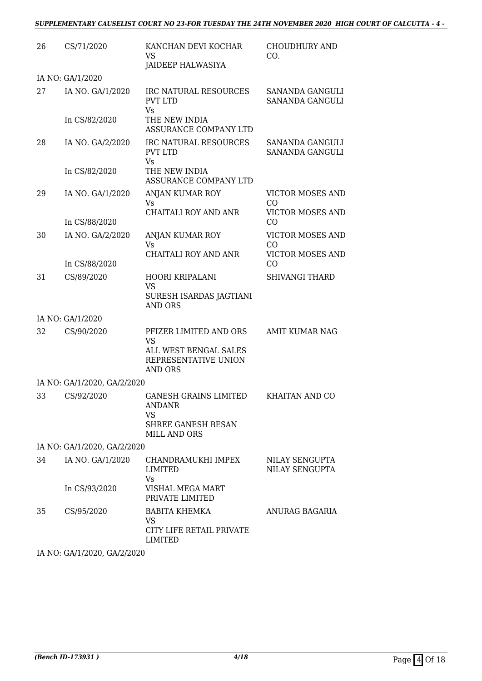#### *SUPPLEMENTARY CAUSELIST COURT NO 23-FOR TUESDAY THE 24TH NOVEMBER 2020 HIGH COURT OF CALCUTTA - 4 -*

| 26 | CS/71/2020                  | KANCHAN DEVI KOCHAR<br><b>VS</b>                                                                               | <b>CHOUDHURY AND</b><br>CO.               |
|----|-----------------------------|----------------------------------------------------------------------------------------------------------------|-------------------------------------------|
|    |                             | JAIDEEP HALWASIYA                                                                                              |                                           |
|    | IA NO: GA/1/2020            |                                                                                                                |                                           |
| 27 | IA NO. GA/1/2020            | IRC NATURAL RESOURCES<br><b>PVT LTD</b><br>Vs                                                                  | SANANDA GANGULI<br>SANANDA GANGULI        |
|    | In CS/82/2020               | THE NEW INDIA<br>ASSURANCE COMPANY LTD                                                                         |                                           |
| 28 | IA NO. GA/2/2020            | IRC NATURAL RESOURCES<br><b>PVT LTD</b>                                                                        | <b>SANANDA GANGULI</b><br>SANANDA GANGULI |
|    | In CS/82/2020               | Vs<br>THE NEW INDIA<br>ASSURANCE COMPANY LTD                                                                   |                                           |
| 29 | IA NO. GA/1/2020            | ANJAN KUMAR ROY<br>Vs                                                                                          | <b>VICTOR MOSES AND</b><br>CO             |
|    | In CS/88/2020               | CHAITALI ROY AND ANR                                                                                           | <b>VICTOR MOSES AND</b><br>CO             |
| 30 | IA NO. GA/2/2020            | ANJAN KUMAR ROY<br>Vs.                                                                                         | <b>VICTOR MOSES AND</b><br>CO             |
|    | In CS/88/2020               | CHAITALI ROY AND ANR                                                                                           | <b>VICTOR MOSES AND</b><br>CO             |
| 31 | CS/89/2020                  | HOORI KRIPALANI<br>VS<br>SURESH ISARDAS JAGTIANI                                                               | <b>SHIVANGI THARD</b>                     |
|    |                             | <b>AND ORS</b>                                                                                                 |                                           |
|    | IA NO: GA/1/2020            |                                                                                                                |                                           |
| 32 | CS/90/2020                  | PFIZER LIMITED AND ORS<br>VS<br>ALL WEST BENGAL SALES<br>REPRESENTATIVE UNION<br><b>AND ORS</b>                | <b>AMIT KUMAR NAG</b>                     |
|    | IA NO: GA/1/2020, GA/2/2020 |                                                                                                                |                                           |
|    |                             | 33 CS/92/2020 GANESH GRAINS LIMITED<br><b>ANDANR</b><br><b>VS</b><br>SHREE GANESH BESAN<br><b>MILL AND ORS</b> | KHAITAN AND CO                            |
|    | IA NO: GA/1/2020, GA/2/2020 |                                                                                                                |                                           |
| 34 | IA NO. GA/1/2020            | CHANDRAMUKHI IMPEX<br>LIMITED<br>Vs                                                                            | NILAY SENGUPTA<br>NILAY SENGUPTA          |
|    | In CS/93/2020               | VISHAL MEGA MART<br>PRIVATE LIMITED                                                                            |                                           |
| 35 | CS/95/2020                  | <b>BABITA KHEMKA</b><br><b>VS</b><br>CITY LIFE RETAIL PRIVATE<br><b>LIMITED</b>                                | ANURAG BAGARIA                            |
|    |                             |                                                                                                                |                                           |

IA NO: GA/1/2020, GA/2/2020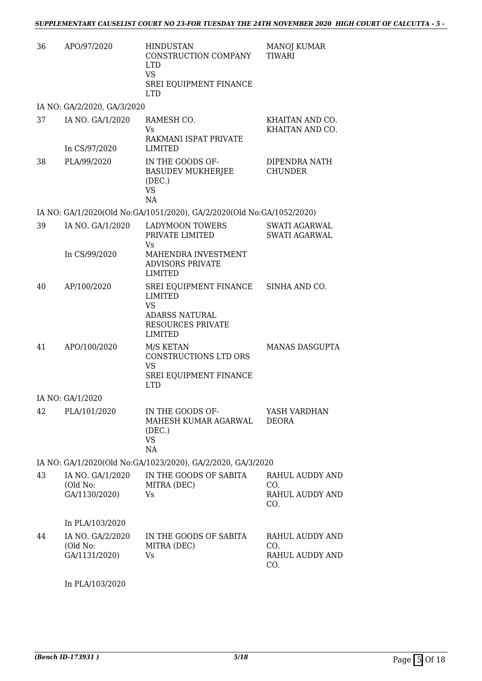| 36 | APO/97/2020                                   | <b>HINDUSTAN</b><br>CONSTRUCTION COMPANY<br><b>LTD</b><br><b>VS</b><br>SREI EQUIPMENT FINANCE<br><b>LTD</b> | <b>MANOJ KUMAR</b><br><b>TIWARI</b>                                 |
|----|-----------------------------------------------|-------------------------------------------------------------------------------------------------------------|---------------------------------------------------------------------|
|    | IA NO: GA/2/2020, GA/3/2020                   |                                                                                                             |                                                                     |
| 37 | IA NO. GA/1/2020<br>In CS/97/2020             | RAMESH CO.<br>Vs.<br>RAKMANI ISPAT PRIVATE<br>LIMITED                                                       | KHAITAN AND CO.<br>KHAITAN AND CO.                                  |
| 38 | PLA/99/2020                                   | IN THE GOODS OF-<br><b>BASUDEV MUKHERJEE</b><br>(DEC.)<br><b>VS</b><br>NA                                   | DIPENDRA NATH<br><b>CHUNDER</b>                                     |
|    |                                               | IA NO: GA/1/2020(Old No:GA/1051/2020), GA/2/2020(Old No:GA/1052/2020)                                       |                                                                     |
| 39 | IA NO. GA/1/2020                              | <b>LADYMOON TOWERS</b><br>PRIVATE LIMITED<br>Vs                                                             | <b>SWATI AGARWAL</b><br><b>SWATI AGARWAL</b>                        |
|    | In CS/99/2020                                 | MAHENDRA INVESTMENT<br><b>ADVISORS PRIVATE</b><br><b>LIMITED</b>                                            |                                                                     |
| 40 | AP/100/2020                                   | SREI EQUIPMENT FINANCE<br>LIMITED<br><b>VS</b><br>ADARSS NATURAL<br><b>RESOURCES PRIVATE</b><br>LIMITED     | SINHA AND CO.                                                       |
| 41 | APO/100/2020                                  | M/S KETAN<br>CONSTRUCTIONS LTD ORS<br><b>VS</b><br>SREI EQUIPMENT FINANCE<br><b>LTD</b>                     | MANAS DASGUPTA                                                      |
|    | IA NO: GA/1/2020                              |                                                                                                             |                                                                     |
| 42 | PLA/101/2020                                  | IN THE GOODS OF-<br>MAHESH KUMAR AGARWAL<br>(DEC.)<br><b>VS</b><br>NA                                       | YASH VARDHAN<br><b>DEORA</b>                                        |
|    |                                               | IA NO: GA/1/2020(Old No:GA/1023/2020), GA/2/2020, GA/3/2020                                                 |                                                                     |
| 43 | IA NO. GA/1/2020<br>(Old No:<br>GA/1130/2020) | IN THE GOODS OF SABITA<br>MITRA (DEC)<br>Vs                                                                 | RAHUL AUDDY AND<br>CO <sub>1</sub><br><b>RAHUL AUDDY AND</b><br>CO. |
|    | In PLA/103/2020                               |                                                                                                             |                                                                     |
| 44 | IA NO. GA/2/2020<br>(Old No:<br>GA/1131/2020) | IN THE GOODS OF SABITA<br>MITRA (DEC)<br>Vs                                                                 | <b>RAHUL AUDDY AND</b><br>CO.<br><b>RAHUL AUDDY AND</b><br>CO.      |

In PLA/103/2020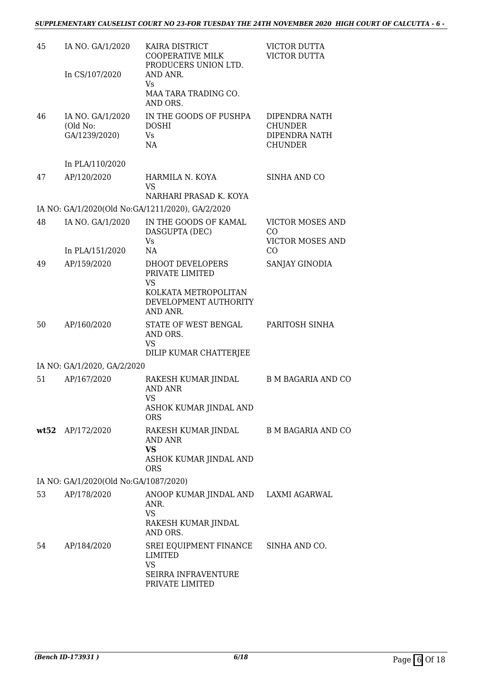| 45 | IA NO. GA/1/2020<br>In CS/107/2020            | KAIRA DISTRICT<br>COOPERATIVE MILK<br>PRODUCERS UNION LTD.<br>AND ANR.<br>Vs.                          | VICTOR DUTTA<br>VICTOR DUTTA                                       |
|----|-----------------------------------------------|--------------------------------------------------------------------------------------------------------|--------------------------------------------------------------------|
|    |                                               | MAA TARA TRADING CO.<br>AND ORS.                                                                       |                                                                    |
| 46 | IA NO. GA/1/2020<br>(Old No:<br>GA/1239/2020) | IN THE GOODS OF PUSHPA<br><b>DOSHI</b><br>Vs<br>NA                                                     | DIPENDRA NATH<br><b>CHUNDER</b><br>DIPENDRA NATH<br><b>CHUNDER</b> |
|    | In PLA/110/2020                               |                                                                                                        |                                                                    |
| 47 | AP/120/2020                                   | HARMILA N. KOYA<br><b>VS</b>                                                                           | SINHA AND CO                                                       |
|    |                                               | NARHARI PRASAD K. KOYA                                                                                 |                                                                    |
|    |                                               | IA NO: GA/1/2020(Old No:GA/1211/2020), GA/2/2020                                                       |                                                                    |
| 48 | IA NO. GA/1/2020                              | IN THE GOODS OF KAMAL<br>DASGUPTA (DEC)<br>Vs.                                                         | <b>VICTOR MOSES AND</b><br>CO<br><b>VICTOR MOSES AND</b>           |
|    | In PLA/151/2020                               | NA                                                                                                     | CO                                                                 |
| 49 | AP/159/2020                                   | DHOOT DEVELOPERS<br>PRIVATE LIMITED<br>VS<br>KOLKATA METROPOLITAN<br>DEVELOPMENT AUTHORITY<br>AND ANR. | SANJAY GINODIA                                                     |
| 50 | AP/160/2020                                   | STATE OF WEST BENGAL<br>AND ORS.<br><b>VS</b><br>DILIP KUMAR CHATTERJEE                                | PARITOSH SINHA                                                     |
|    | IA NO: GA/1/2020, GA/2/2020                   |                                                                                                        |                                                                    |
| 51 | AP/167/2020                                   | RAKESH KUMAR JINDAL<br><b>AND ANR</b><br><b>VS</b><br>ASHOK KUMAR JINDAL AND<br><b>ORS</b>             | <b>B M BAGARIA AND CO</b>                                          |
|    | wt52 AP/172/2020                              | RAKESH KUMAR JINDAL<br>AND ANR<br><b>VS</b><br>ASHOK KUMAR JINDAL AND<br><b>ORS</b>                    | <b>B M BAGARIA AND CO</b>                                          |
|    | IA NO: GA/1/2020(Old No:GA/1087/2020)         |                                                                                                        |                                                                    |
| 53 | AP/178/2020                                   | ANOOP KUMAR JINDAL AND LAXMI AGARWAL<br>ANR.<br><b>VS</b><br>RAKESH KUMAR JINDAL<br>AND ORS.           |                                                                    |
| 54 | AP/184/2020                                   | SREI EQUIPMENT FINANCE SINHA AND CO.<br>LIMITED<br><b>VS</b><br>SEIRRA INFRAVENTURE<br>PRIVATE LIMITED |                                                                    |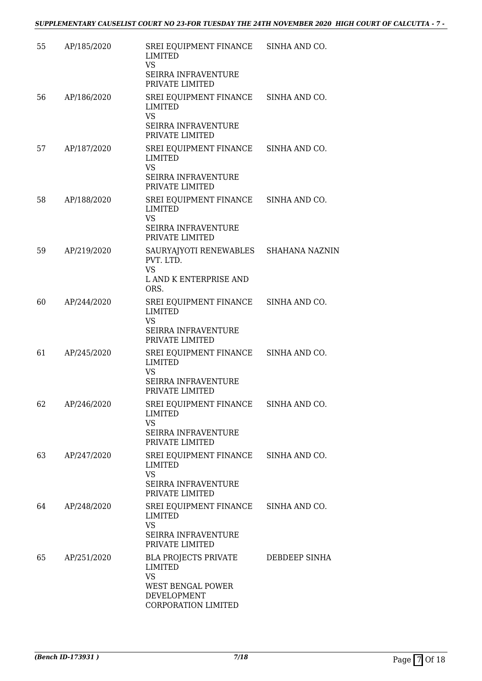| 55 | AP/185/2020 | SREI EQUIPMENT FINANCE SINHA AND CO.<br><b>LIMITED</b>                                                                |               |
|----|-------------|-----------------------------------------------------------------------------------------------------------------------|---------------|
|    |             | <b>VS</b><br>SEIRRA INFRAVENTURE<br>PRIVATE LIMITED                                                                   |               |
| 56 | AP/186/2020 | SREI EQUIPMENT FINANCE<br>LIMITED<br><b>VS</b><br>SEIRRA INFRAVENTURE<br>PRIVATE LIMITED                              | SINHA AND CO. |
| 57 | AP/187/2020 | SREI EQUIPMENT FINANCE SINHA AND CO.<br><b>LIMITED</b><br><b>VS</b><br>SEIRRA INFRAVENTURE                            |               |
| 58 | AP/188/2020 | PRIVATE LIMITED<br>SREI EQUIPMENT FINANCE SINHA AND CO.<br><b>LIMITED</b><br><b>VS</b>                                |               |
|    |             | <b>SEIRRA INFRAVENTURE</b><br>PRIVATE LIMITED                                                                         |               |
| 59 | AP/219/2020 | SAURYAJYOTI RENEWABLES SHAHANA NAZNIN<br>PVT. LTD.<br><b>VS</b><br>L AND K ENTERPRISE AND<br>ORS.                     |               |
| 60 | AP/244/2020 | SREI EQUIPMENT FINANCE SINHA AND CO.<br><b>LIMITED</b><br><b>VS</b><br><b>SEIRRA INFRAVENTURE</b><br>PRIVATE LIMITED  |               |
| 61 | AP/245/2020 | SREI EQUIPMENT FINANCE SINHA AND CO.<br><b>LIMITED</b><br><b>VS</b><br><b>SEIRRA INFRAVENTURE</b><br>PRIVATE LIMITED  |               |
| 62 | AP/246/2020 | SREI EQUIPMENT FINANCE SINHA AND CO.<br>LIMITED<br><b>VS</b><br><b>SEIRRA INFRAVENTURE</b><br>PRIVATE LIMITED         |               |
| 63 | AP/247/2020 | SREI EQUIPMENT FINANCE<br>LIMITED<br><b>VS</b><br><b>SEIRRA INFRAVENTURE</b><br>PRIVATE LIMITED                       | SINHA AND CO. |
| 64 | AP/248/2020 | SREI EQUIPMENT FINANCE<br><b>LIMITED</b><br><b>VS</b><br><b>SEIRRA INFRAVENTURE</b><br>PRIVATE LIMITED                | SINHA AND CO. |
| 65 | AP/251/2020 | <b>BLA PROJECTS PRIVATE</b><br>LIMITED<br><b>VS</b><br>WEST BENGAL POWER<br><b>DEVELOPMENT</b><br>CORPORATION LIMITED | DEBDEEP SINHA |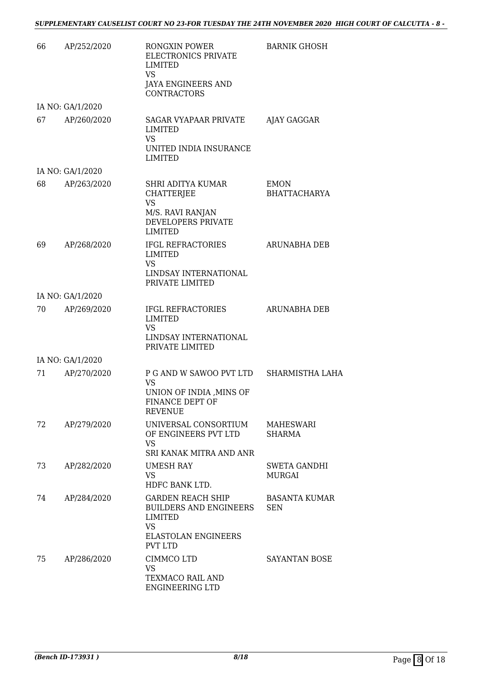| 66 | AP/252/2020      | RONGXIN POWER<br>ELECTRONICS PRIVATE<br>LIMITED<br><b>VS</b><br>JAYA ENGINEERS AND<br><b>CONTRACTORS</b>                     | <b>BARNIK GHOSH</b>                  |
|----|------------------|------------------------------------------------------------------------------------------------------------------------------|--------------------------------------|
|    | IA NO: GA/1/2020 |                                                                                                                              |                                      |
| 67 | AP/260/2020      | SAGAR VYAPAAR PRIVATE<br>LIMITED<br><b>VS</b><br>UNITED INDIA INSURANCE<br><b>LIMITED</b>                                    | AJAY GAGGAR                          |
|    | IA NO: GA/1/2020 |                                                                                                                              |                                      |
| 68 | AP/263/2020      | SHRI ADITYA KUMAR<br><b>CHATTERJEE</b><br><b>VS</b><br>M/S. RAVI RANJAN<br>DEVELOPERS PRIVATE<br><b>LIMITED</b>              | EMON<br><b>BHATTACHARYA</b>          |
| 69 | AP/268/2020      | <b>IFGL REFRACTORIES</b><br><b>LIMITED</b><br><b>VS</b><br>LINDSAY INTERNATIONAL<br>PRIVATE LIMITED                          | <b>ARUNABHA DEB</b>                  |
|    | IA NO: GA/1/2020 |                                                                                                                              |                                      |
| 70 | AP/269/2020      | <b>IFGL REFRACTORIES</b><br>LIMITED<br><b>VS</b><br>LINDSAY INTERNATIONAL<br>PRIVATE LIMITED                                 | <b>ARUNABHA DEB</b>                  |
|    | IA NO: GA/1/2020 |                                                                                                                              |                                      |
| 71 | AP/270/2020      | P G AND W SAWOO PVT LTD SHARMISTHA LAHA<br><b>VS</b><br>UNION OF INDIA , MINS OF<br><b>FINANCE DEPT OF</b><br><b>REVENUE</b> |                                      |
| 72 | AP/279/2020      | UNIVERSAL CONSORTIUM<br>OF ENGINEERS PVT LTD<br><b>VS</b><br>SRI KANAK MITRA AND ANR                                         | MAHESWARI<br><b>SHARMA</b>           |
| 73 | AP/282/2020      | UMESH RAY<br>VS.<br>HDFC BANK LTD.                                                                                           | <b>SWETA GANDHI</b><br><b>MURGAI</b> |
| 74 | AP/284/2020      | GARDEN REACH SHIP<br>BUILDERS AND ENGINEERS<br>LIMITED<br><b>VS</b><br><b>ELASTOLAN ENGINEERS</b><br><b>PVT LTD</b>          | <b>BASANTA KUMAR</b><br><b>SEN</b>   |
| 75 | AP/286/2020      | CIMMCO LTD<br><b>VS</b><br>TEXMACO RAIL AND<br><b>ENGINEERING LTD</b>                                                        | SAYANTAN BOSE                        |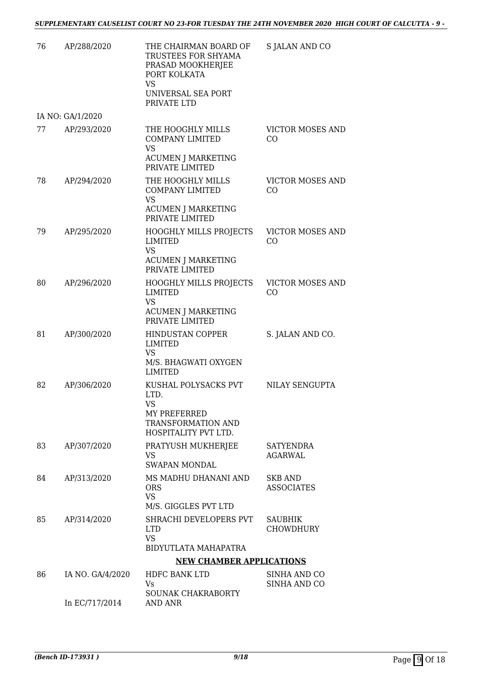| 76 | AP/288/2020      | THE CHAIRMAN BOARD OF<br>TRUSTEES FOR SHYAMA<br>PRASAD MOOKHERJEE<br>PORT KOLKATA<br><b>VS</b>                 | S JALAN AND CO                      |
|----|------------------|----------------------------------------------------------------------------------------------------------------|-------------------------------------|
|    |                  | UNIVERSAL SEA PORT<br>PRIVATE LTD                                                                              |                                     |
|    | IA NO: GA/1/2020 |                                                                                                                |                                     |
| 77 | AP/293/2020      | THE HOOGHLY MILLS<br><b>COMPANY LIMITED</b><br><b>VS</b><br><b>ACUMEN J MARKETING</b><br>PRIVATE LIMITED       | <b>VICTOR MOSES AND</b><br>CO       |
| 78 | AP/294/2020      | THE HOOGHLY MILLS<br><b>COMPANY LIMITED</b><br><b>VS</b><br><b>ACUMEN J MARKETING</b><br>PRIVATE LIMITED       | <b>VICTOR MOSES AND</b><br>CO       |
| 79 | AP/295/2020      | <b>HOOGHLY MILLS PROJECTS</b><br>LIMITED<br><b>VS</b><br><b>ACUMEN J MARKETING</b><br>PRIVATE LIMITED          | <b>VICTOR MOSES AND</b><br>CO       |
| 80 | AP/296/2020      | <b>HOOGHLY MILLS PROJECTS</b><br>LIMITED<br>VS<br>ACUMEN J MARKETING<br>PRIVATE LIMITED                        | <b>VICTOR MOSES AND</b><br>CO       |
| 81 | AP/300/2020      | <b>HINDUSTAN COPPER</b><br><b>LIMITED</b><br>VS<br>M/S. BHAGWATI OXYGEN<br><b>LIMITED</b>                      | S. JALAN AND CO.                    |
| 82 | AP/306/2020      | KUSHAL POLYSACKS PVT<br>LTD.<br><b>VS</b><br>MY PREFERRED<br><b>TRANSFORMATION AND</b><br>HOSPITALITY PVT LTD. | NILAY SENGUPTA                      |
| 83 | AP/307/2020      | PRATYUSH MUKHERJEE<br>VS<br><b>SWAPAN MONDAL</b>                                                               | <b>SATYENDRA</b><br>AGARWAL         |
| 84 | AP/313/2020      | MS MADHU DHANANI AND<br><b>ORS</b><br><b>VS</b><br>M/S. GIGGLES PVT LTD                                        | <b>SKB AND</b><br><b>ASSOCIATES</b> |
| 85 | AP/314/2020      | SHRACHI DEVELOPERS PVT<br><b>LTD</b><br><b>VS</b><br>BIDYUTLATA MAHAPATRA                                      | <b>SAUBHIK</b><br><b>CHOWDHURY</b>  |
|    |                  | <b>NEW CHAMBER APPLICATIONS</b>                                                                                |                                     |
| 86 | IA NO. GA/4/2020 | HDFC BANK LTD<br>Vs<br><b>SOUNAK CHAKRABORTY</b>                                                               | SINHA AND CO<br>SINHA AND CO        |
|    | In EC/717/2014   | AND ANR                                                                                                        |                                     |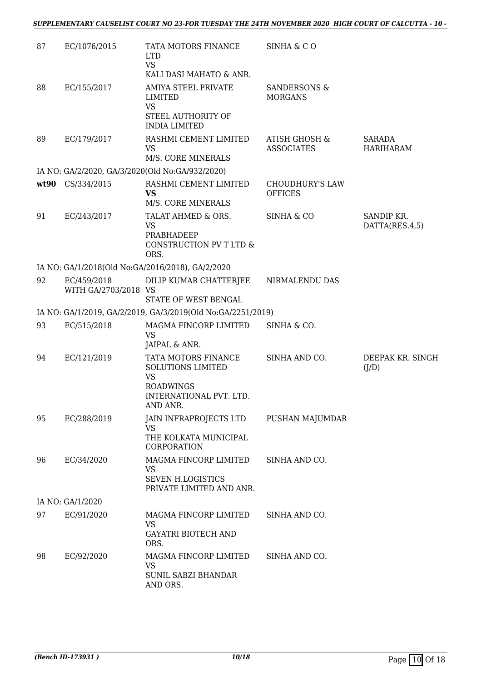| 87 | EC/1076/2015                        | TATA MOTORS FINANCE<br><b>LTD</b><br><b>VS</b><br>KALI DASI MAHATO & ANR.                                               | SINHA & CO                                    |                                   |
|----|-------------------------------------|-------------------------------------------------------------------------------------------------------------------------|-----------------------------------------------|-----------------------------------|
| 88 | EC/155/2017                         | AMIYA STEEL PRIVATE<br>LIMITED<br><b>VS</b><br>STEEL AUTHORITY OF                                                       | SANDERSONS &<br><b>MORGANS</b>                |                                   |
|    |                                     | <b>INDIA LIMITED</b>                                                                                                    |                                               |                                   |
| 89 | EC/179/2017                         | RASHMI CEMENT LIMITED<br><b>VS</b><br>M/S. CORE MINERALS                                                                | <b>ATISH GHOSH &amp;</b><br><b>ASSOCIATES</b> | <b>SARADA</b><br><b>HARIHARAM</b> |
|    |                                     | IA NO: GA/2/2020, GA/3/2020(Old No:GA/932/2020)                                                                         |                                               |                                   |
|    | wt90 CS/334/2015                    | RASHMI CEMENT LIMITED<br>VS<br>M/S. CORE MINERALS                                                                       | <b>CHOUDHURY'S LAW</b><br><b>OFFICES</b>      |                                   |
| 91 | EC/243/2017                         | TALAT AHMED & ORS.<br><b>VS</b><br>PRABHADEEP<br>CONSTRUCTION PV T LTD &<br>ORS.                                        | SINHA & CO                                    | SANDIP KR.<br>DATTA(RES.4,5)      |
|    |                                     | IA NO: GA/1/2018(Old No:GA/2016/2018), GA/2/2020                                                                        |                                               |                                   |
| 92 | EC/459/2018<br>WITH GA/2703/2018 VS | DILIP KUMAR CHATTERJEE<br>STATE OF WEST BENGAL                                                                          | NIRMALENDU DAS                                |                                   |
|    |                                     | IA NO: GA/1/2019, GA/2/2019, GA/3/2019(Old No:GA/2251/2019)                                                             |                                               |                                   |
| 93 | EC/515/2018                         | MAGMA FINCORP LIMITED<br>VS<br>JAIPAL & ANR.                                                                            | SINHA & CO.                                   |                                   |
| 94 | EC/121/2019                         | TATA MOTORS FINANCE<br><b>SOLUTIONS LIMITED</b><br><b>VS</b><br><b>ROADWINGS</b><br>INTERNATIONAL PVT. LTD.<br>AND ANR. | SINHA AND CO.                                 | DEEPAK KR. SINGH<br>(J/D)         |
| 95 | EC/288/2019                         | JAIN INFRAPROJECTS LTD<br>VS<br>THE KOLKATA MUNICIPAL                                                                   | PUSHAN MAJUMDAR                               |                                   |
| 96 | EC/34/2020                          | CORPORATION<br>MAGMA FINCORP LIMITED<br>VS<br><b>SEVEN H.LOGISTICS</b><br>PRIVATE LIMITED AND ANR.                      | SINHA AND CO.                                 |                                   |
|    | IA NO: GA/1/2020                    |                                                                                                                         |                                               |                                   |
| 97 | EC/91/2020                          | MAGMA FINCORP LIMITED<br><b>VS</b><br><b>GAYATRI BIOTECH AND</b><br>ORS.                                                | SINHA AND CO.                                 |                                   |
| 98 | EC/92/2020                          | MAGMA FINCORP LIMITED<br><b>VS</b><br><b>SUNIL SABZI BHANDAR</b><br>AND ORS.                                            | SINHA AND CO.                                 |                                   |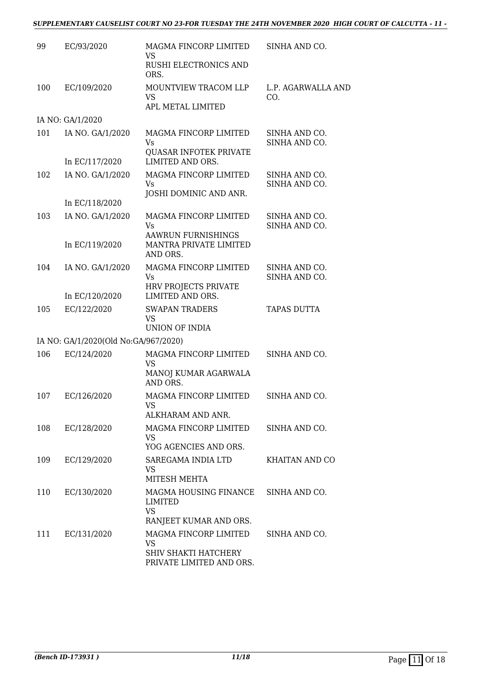#### *SUPPLEMENTARY CAUSELIST COURT NO 23-FOR TUESDAY THE 24TH NOVEMBER 2020 HIGH COURT OF CALCUTTA - 11 -*

| 99  | EC/93/2020                           | MAGMA FINCORP LIMITED<br>VS<br><b>RUSHI ELECTRONICS AND</b>                                               | SINHA AND CO.                  |
|-----|--------------------------------------|-----------------------------------------------------------------------------------------------------------|--------------------------------|
|     |                                      | ORS.                                                                                                      |                                |
| 100 | EC/109/2020                          | MOUNTVIEW TRACOM LLP<br><b>VS</b><br>APL METAL LIMITED                                                    | L.P. AGARWALLA AND<br>CO.      |
|     | IA NO: GA/1/2020                     |                                                                                                           |                                |
| 101 | IA NO. GA/1/2020                     | MAGMA FINCORP LIMITED<br>Vs<br><b>QUASAR INFOTEK PRIVATE</b>                                              | SINHA AND CO.<br>SINHA AND CO. |
|     | In EC/117/2020                       | LIMITED AND ORS.                                                                                          |                                |
| 102 | IA NO. GA/1/2020                     | MAGMA FINCORP LIMITED<br><b>Vs</b><br>JOSHI DOMINIC AND ANR.                                              | SINHA AND CO.<br>SINHA AND CO. |
|     | In EC/118/2020                       |                                                                                                           |                                |
| 103 | IA NO. GA/1/2020                     | MAGMA FINCORP LIMITED<br>Vs<br><b>AAWRUN FURNISHINGS</b>                                                  | SINHA AND CO.<br>SINHA AND CO. |
|     | In EC/119/2020                       | MANTRA PRIVATE LIMITED<br>AND ORS.                                                                        |                                |
| 104 | IA NO. GA/1/2020                     | MAGMA FINCORP LIMITED<br>Vs<br>HRV PROJECTS PRIVATE                                                       | SINHA AND CO.<br>SINHA AND CO. |
|     | In EC/120/2020                       | LIMITED AND ORS.                                                                                          |                                |
| 105 | EC/122/2020                          | <b>SWAPAN TRADERS</b><br><b>VS</b><br><b>UNION OF INDIA</b>                                               | <b>TAPAS DUTTA</b>             |
|     | IA NO: GA/1/2020(Old No:GA/967/2020) |                                                                                                           |                                |
| 106 | EC/124/2020                          | MAGMA FINCORP LIMITED<br><b>VS</b>                                                                        | SINHA AND CO.                  |
|     |                                      | MANOJ KUMAR AGARWALA<br>AND ORS.                                                                          |                                |
| 107 | EC/126/2020                          | MAGMA FINCORP LIMITED<br>VS<br>ALKHARAM AND ANR.                                                          | SINHA AND CO.                  |
| 108 | EC/128/2020                          | MAGMA FINCORP LIMITED<br>VS.                                                                              | SINHA AND CO.                  |
|     |                                      | YOG AGENCIES AND ORS.                                                                                     |                                |
| 109 | EC/129/2020                          | SAREGAMA INDIA LTD<br>VS<br>MITESH MEHTA                                                                  | <b>KHAITAN AND CO</b>          |
| 110 | EC/130/2020                          | MAGMA HOUSING FINANCE<br>LIMITED<br><b>VS</b>                                                             | SINHA AND CO.                  |
| 111 | EC/131/2020                          | RANJEET KUMAR AND ORS.<br>MAGMA FINCORP LIMITED<br>VS<br>SHIV SHAKTI HATCHERY<br>PRIVATE LIMITED AND ORS. | SINHA AND CO.                  |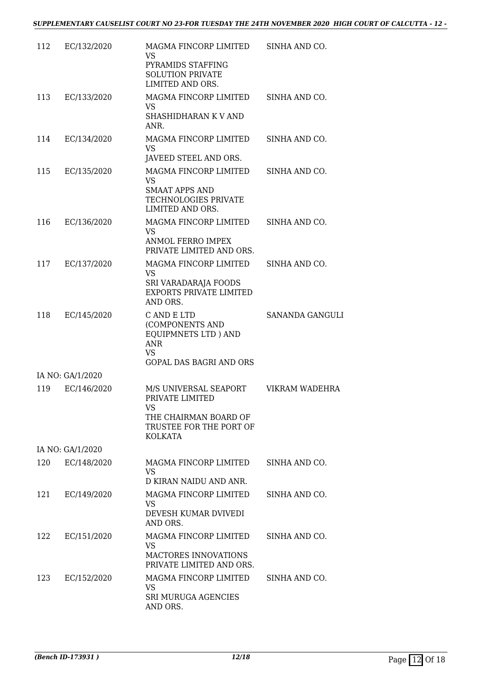| 112 | EC/132/2020      | MAGMA FINCORP LIMITED<br><b>VS</b><br>PYRAMIDS STAFFING<br><b>SOLUTION PRIVATE</b><br>LIMITED AND ORS.                           | SINHA AND CO.          |
|-----|------------------|----------------------------------------------------------------------------------------------------------------------------------|------------------------|
| 113 | EC/133/2020      | MAGMA FINCORP LIMITED<br><b>VS</b><br>SHASHIDHARAN K V AND<br>ANR.                                                               | SINHA AND CO.          |
| 114 | EC/134/2020      | MAGMA FINCORP LIMITED<br><b>VS</b>                                                                                               | SINHA AND CO.          |
| 115 | EC/135/2020      | JAVEED STEEL AND ORS.<br>MAGMA FINCORP LIMITED<br><b>VS</b><br><b>SMAAT APPS AND</b><br>TECHNOLOGIES PRIVATE<br>LIMITED AND ORS. | SINHA AND CO.          |
| 116 | EC/136/2020      | MAGMA FINCORP LIMITED<br>VS<br><b>ANMOL FERRO IMPEX</b><br>PRIVATE LIMITED AND ORS.                                              | SINHA AND CO.          |
| 117 | EC/137/2020      | MAGMA FINCORP LIMITED<br>VS<br>SRI VARADARAJA FOODS<br><b>EXPORTS PRIVATE LIMITED</b><br>AND ORS.                                | SINHA AND CO.          |
| 118 | EC/145/2020      | C AND E LTD<br>(COMPONENTS AND<br>EQUIPMNETS LTD ) AND<br><b>ANR</b><br>VS<br><b>GOPAL DAS BAGRI AND ORS</b>                     | <b>SANANDA GANGULI</b> |
|     | IA NO: GA/1/2020 |                                                                                                                                  |                        |
| 119 | EC/146/2020      | M/S UNIVERSAL SEAPORT<br>PRIVATE LIMITED<br><b>VS</b><br>THE CHAIRMAN BOARD OF<br>TRUSTEE FOR THE PORT OF<br><b>KOLKATA</b>      | VIKRAM WADEHRA         |
|     | IA NO: GA/1/2020 |                                                                                                                                  |                        |
| 120 | EC/148/2020      | MAGMA FINCORP LIMITED<br>VS<br>D KIRAN NAIDU AND ANR.                                                                            | SINHA AND CO.          |
| 121 | EC/149/2020      | MAGMA FINCORP LIMITED<br>VS<br>DEVESH KUMAR DVIVEDI<br>AND ORS.                                                                  | SINHA AND CO.          |
| 122 | EC/151/2020      | MAGMA FINCORP LIMITED<br><b>VS</b><br>MACTORES INNOVATIONS<br>PRIVATE LIMITED AND ORS.                                           | SINHA AND CO.          |
| 123 | EC/152/2020      | MAGMA FINCORP LIMITED<br>VS<br><b>SRI MURUGA AGENCIES</b><br>AND ORS.                                                            | SINHA AND CO.          |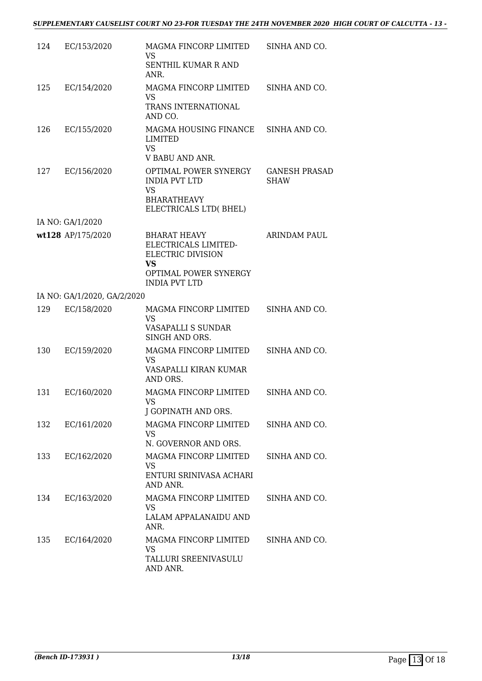| 124 | EC/153/2020                 | MAGMA FINCORP LIMITED<br><b>VS</b><br>SENTHIL KUMAR R AND<br>ANR.                                                            | SINHA AND CO.                       |
|-----|-----------------------------|------------------------------------------------------------------------------------------------------------------------------|-------------------------------------|
| 125 | EC/154/2020                 | MAGMA FINCORP LIMITED<br>VS<br>TRANS INTERNATIONAL<br>AND CO.                                                                | SINHA AND CO.                       |
| 126 | EC/155/2020                 | MAGMA HOUSING FINANCE<br>LIMITED<br><b>VS</b>                                                                                | SINHA AND CO.                       |
| 127 | EC/156/2020                 | V BABU AND ANR.<br>OPTIMAL POWER SYNERGY<br><b>INDIA PVT LTD</b><br><b>VS</b><br><b>BHARATHEAVY</b><br>ELECTRICALS LTD(BHEL) | <b>GANESH PRASAD</b><br><b>SHAW</b> |
|     | IA NO: GA/1/2020            |                                                                                                                              |                                     |
|     | wt128 AP/175/2020           | <b>BHARAT HEAVY</b><br>ELECTRICALS LIMITED-<br>ELECTRIC DIVISION<br><b>VS</b>                                                | <b>ARINDAM PAUL</b>                 |
|     |                             | OPTIMAL POWER SYNERGY<br><b>INDIA PVT LTD</b>                                                                                |                                     |
|     | IA NO: GA/1/2020, GA/2/2020 |                                                                                                                              |                                     |
| 129 | EC/158/2020                 | MAGMA FINCORP LIMITED<br><b>VS</b><br>VASAPALLI S SUNDAR<br>SINGH AND ORS.                                                   | SINHA AND CO.                       |
| 130 | EC/159/2020                 | MAGMA FINCORP LIMITED<br>VS<br>VASAPALLI KIRAN KUMAR<br>AND ORS.                                                             | SINHA AND CO.                       |
| 131 | EC/160/2020                 | MAGMA FINCORP LIMITED<br>VS —<br>J GOPINATH AND ORS.                                                                         | SINHA AND CO.                       |
| 132 | EC/161/2020                 | MAGMA FINCORP LIMITED<br>VS.<br>N. GOVERNOR AND ORS.                                                                         | SINHA AND CO.                       |
| 133 | EC/162/2020                 | MAGMA FINCORP LIMITED<br>VS<br>ENTURI SRINIVASA ACHARI<br>AND ANR.                                                           | SINHA AND CO.                       |
| 134 | EC/163/2020                 | MAGMA FINCORP LIMITED<br><b>VS</b><br>LALAM APPALANAIDU AND<br>ANR.                                                          | SINHA AND CO.                       |
| 135 | EC/164/2020                 | MAGMA FINCORP LIMITED<br>VS<br>TALLURI SREENIVASULU<br>AND ANR.                                                              | SINHA AND CO.                       |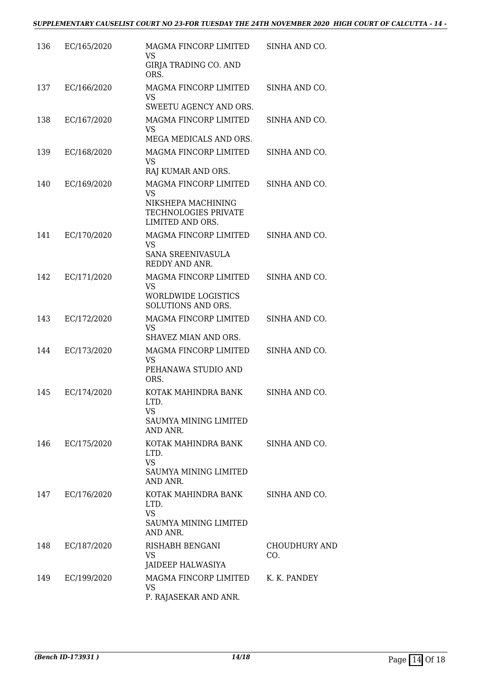| 136 | EC/165/2020 | MAGMA FINCORP LIMITED<br><b>VS</b><br><b>GIRJA TRADING CO. AND</b>                            | SINHA AND CO.               |
|-----|-------------|-----------------------------------------------------------------------------------------------|-----------------------------|
|     |             | ORS.                                                                                          |                             |
| 137 | EC/166/2020 | MAGMA FINCORP LIMITED<br>VS                                                                   | SINHA AND CO.               |
|     |             | SWEETU AGENCY AND ORS.                                                                        |                             |
| 138 | EC/167/2020 | MAGMA FINCORP LIMITED<br><b>VS</b>                                                            | SINHA AND CO.               |
|     |             | MEGA MEDICALS AND ORS.                                                                        |                             |
| 139 | EC/168/2020 | MAGMA FINCORP LIMITED<br>VS<br>RAJ KUMAR AND ORS.                                             | SINHA AND CO.               |
|     |             |                                                                                               |                             |
| 140 | EC/169/2020 | MAGMA FINCORP LIMITED<br>VS<br>NIKSHEPA MACHINING<br>TECHNOLOGIES PRIVATE<br>LIMITED AND ORS. | SINHA AND CO.               |
| 141 | EC/170/2020 | MAGMA FINCORP LIMITED<br><b>VS</b><br>SANA SREENIVASULA<br>REDDY AND ANR.                     | SINHA AND CO.               |
| 142 | EC/171/2020 | MAGMA FINCORP LIMITED                                                                         | SINHA AND CO.               |
|     |             | <b>VS</b><br><b>WORLDWIDE LOGISTICS</b><br>SOLUTIONS AND ORS.                                 |                             |
| 143 | EC/172/2020 | MAGMA FINCORP LIMITED<br><b>VS</b><br>SHAVEZ MIAN AND ORS.                                    | SINHA AND CO.               |
| 144 | EC/173/2020 | MAGMA FINCORP LIMITED<br><b>VS</b><br>PEHANAWA STUDIO AND<br>ORS.                             | SINHA AND CO.               |
| 145 | EC/174/2020 | KOTAK MAHINDRA BANK<br>LTD.<br>VS<br><b>SAUMYA MINING LIMITED</b>                             | SINHA AND CO.               |
|     |             | AND ANR.                                                                                      |                             |
| 146 | EC/175/2020 | KOTAK MAHINDRA BANK<br>LTD.<br><b>VS</b><br><b>SAUMYA MINING LIMITED</b><br>AND ANR.          | SINHA AND CO.               |
| 147 | EC/176/2020 | KOTAK MAHINDRA BANK<br>LTD.<br><b>VS</b><br><b>SAUMYA MINING LIMITED</b><br>AND ANR.          | SINHA AND CO.               |
| 148 | EC/187/2020 | RISHABH BENGANI<br>VS                                                                         | <b>CHOUDHURY AND</b><br>CO. |
|     |             | JAIDEEP HALWASIYA                                                                             |                             |
| 149 | EC/199/2020 | MAGMA FINCORP LIMITED<br>VS<br>P. RAJASEKAR AND ANR.                                          | K. K. PANDEY                |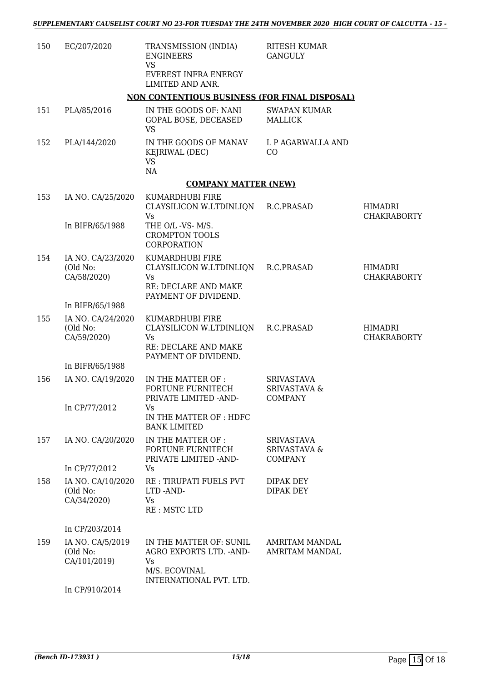| 150 | EC/207/2020                                  | TRANSMISSION (INDIA)<br><b>ENGINEERS</b><br><b>VS</b><br>EVEREST INFRA ENERGY<br>LIMITED AND ANR. | <b>RITESH KUMAR</b><br><b>GANGULY</b>                          |                                      |
|-----|----------------------------------------------|---------------------------------------------------------------------------------------------------|----------------------------------------------------------------|--------------------------------------|
|     |                                              | NON CONTENTIOUS BUSINESS (FOR FINAL DISPOSAL)                                                     |                                                                |                                      |
| 151 | PLA/85/2016                                  | IN THE GOODS OF: NANI<br>GOPAL BOSE, DECEASED<br><b>VS</b>                                        | <b>SWAPAN KUMAR</b><br><b>MALLICK</b>                          |                                      |
| 152 | PLA/144/2020                                 | IN THE GOODS OF MANAV<br>KEJRIWAL (DEC)<br><b>VS</b><br>NA                                        | L P AGARWALLA AND<br>CO                                        |                                      |
|     |                                              | <b>COMPANY MATTER (NEW)</b>                                                                       |                                                                |                                      |
| 153 | IA NO. CA/25/2020                            | KUMARDHUBI FIRE                                                                                   |                                                                |                                      |
|     | In BIFR/65/1988                              | CLAYSILICON W.LTDINLIQN<br>Vs<br>THE O/L -VS- M/S.                                                | R.C.PRASAD                                                     | HIMADRI<br><b>CHAKRABORTY</b>        |
|     |                                              | <b>CROMPTON TOOLS</b><br><b>CORPORATION</b>                                                       |                                                                |                                      |
| 154 | IA NO. CA/23/2020<br>(Old No:<br>CA/58/2020) | KUMARDHUBI FIRE<br>CLAYSILICON W.LTDINLIQN<br><b>Vs</b>                                           | R.C.PRASAD                                                     | <b>HIMADRI</b><br><b>CHAKRABORTY</b> |
|     |                                              | RE: DECLARE AND MAKE<br>PAYMENT OF DIVIDEND.                                                      |                                                                |                                      |
|     | In BIFR/65/1988                              |                                                                                                   |                                                                |                                      |
| 155 | IA NO. CA/24/2020<br>(Old No:<br>CA/59/2020) | KUMARDHUBI FIRE<br>CLAYSILICON W.LTDINLIQN<br><b>Vs</b><br>RE: DECLARE AND MAKE                   | R.C.PRASAD                                                     | HIMADRI<br><b>CHAKRABORTY</b>        |
|     |                                              | PAYMENT OF DIVIDEND.                                                                              |                                                                |                                      |
| 156 | In BIFR/65/1988<br>IA NO. CA/19/2020         | IN THE MATTER OF :                                                                                | <b>SRIVASTAVA</b>                                              |                                      |
|     |                                              | <b>FORTUNE FURNITECH</b><br>PRIVATE LIMITED -AND-                                                 | <b>SRIVASTAVA &amp;</b><br>COMPANY                             |                                      |
|     | In CP/77/2012                                | Vs<br>IN THE MATTER OF : HDFC<br><b>BANK LIMITED</b>                                              |                                                                |                                      |
| 157 | IA NO. CA/20/2020                            | IN THE MATTER OF :<br>FORTUNE FURNITECH<br>PRIVATE LIMITED - AND-                                 | <b>SRIVASTAVA</b><br><b>SRIVASTAVA &amp;</b><br><b>COMPANY</b> |                                      |
|     | In CP/77/2012                                | Vs                                                                                                |                                                                |                                      |
| 158 | IA NO. CA/10/2020<br>(Old No:<br>CA/34/2020) | RE: TIRUPATI FUELS PVT<br>LTD -AND-<br>Vs<br>RE: MSTC LTD                                         | DIPAK DEY<br>DIPAK DEY                                         |                                      |
|     | In CP/203/2014                               |                                                                                                   |                                                                |                                      |
| 159 | IA NO. CA/5/2019<br>(Old No:<br>CA/101/2019) | IN THE MATTER OF: SUNIL<br>AGRO EXPORTS LTD. - AND-<br>Vs<br>M/S. ECOVINAL                        | <b>AMRITAM MANDAL</b><br><b>AMRITAM MANDAL</b>                 |                                      |
|     | In CP/910/2014                               | INTERNATIONAL PVT. LTD.                                                                           |                                                                |                                      |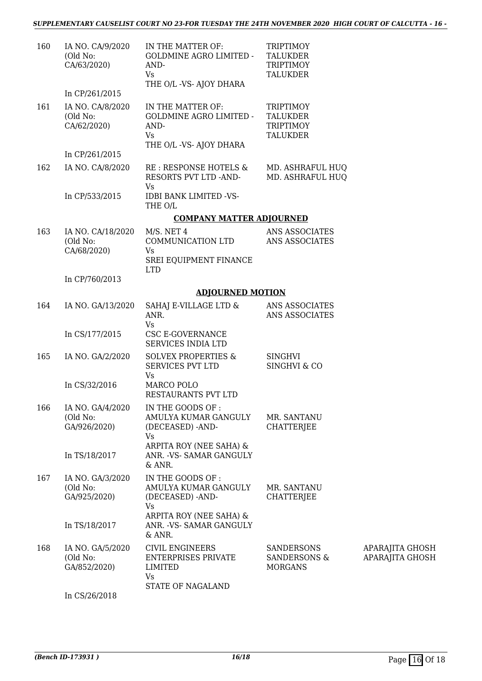#### *SUPPLEMENTARY CAUSELIST COURT NO 23-FOR TUESDAY THE 24TH NOVEMBER 2020 HIGH COURT OF CALCUTTA - 16 -*

| 160 | IA NO. CA/9/2020<br>(Old No:<br>CA/63/2020)  | IN THE MATTER OF:<br><b>GOLDMINE AGRO LIMITED -</b><br>AND-<br><b>Vs</b><br>THE O/L -VS- AJOY DHARA | <b>TRIPTIMOY</b><br><b>TALUKDER</b><br><b>TRIPTIMOY</b><br><b>TALUKDER</b> |                                    |
|-----|----------------------------------------------|-----------------------------------------------------------------------------------------------------|----------------------------------------------------------------------------|------------------------------------|
|     | In CP/261/2015                               |                                                                                                     |                                                                            |                                    |
| 161 | IA NO. CA/8/2020<br>(Old No:<br>CA/62/2020)  | IN THE MATTER OF:<br>GOLDMINE AGRO LIMITED -<br>AND-<br>Vs<br>THE O/L -VS- AJOY DHARA               | <b>TRIPTIMOY</b><br><b>TALUKDER</b><br><b>TRIPTIMOY</b><br><b>TALUKDER</b> |                                    |
|     | In CP/261/2015                               |                                                                                                     |                                                                            |                                    |
| 162 | IA NO. CA/8/2020                             | RE : RESPONSE HOTELS &<br>RESORTS PVT LTD -AND-<br><b>Vs</b>                                        | MD. ASHRAFUL HUQ<br>MD. ASHRAFUL HUQ                                       |                                    |
|     | In CP/533/2015                               | <b>IDBI BANK LIMITED -VS-</b><br>THE O/L                                                            |                                                                            |                                    |
|     |                                              | <b>COMPANY MATTER ADJOURNED</b>                                                                     |                                                                            |                                    |
| 163 | IA NO. CA/18/2020<br>(Old No:<br>CA/68/2020) | $M/S.$ NET 4<br>COMMUNICATION LTD<br>Vs                                                             | ANS ASSOCIATES<br>ANS ASSOCIATES                                           |                                    |
|     |                                              | SREI EQUIPMENT FINANCE<br><b>LTD</b>                                                                |                                                                            |                                    |
|     | In CP/760/2013                               |                                                                                                     |                                                                            |                                    |
|     |                                              | <b>ADJOURNED MOTION</b>                                                                             |                                                                            |                                    |
| 164 | IA NO. GA/13/2020                            | SAHAJ E-VILLAGE LTD &<br>ANR.<br>Vs                                                                 | ANS ASSOCIATES<br>ANS ASSOCIATES                                           |                                    |
|     | In CS/177/2015                               | CSC E-GOVERNANCE<br>SERVICES INDIA LTD                                                              |                                                                            |                                    |
| 165 | IA NO. GA/2/2020                             | <b>SOLVEX PROPERTIES &amp;</b><br>SERVICES PVT LTD<br>Vs                                            | <b>SINGHVI</b><br><b>SINGHVI &amp; CO</b>                                  |                                    |
|     | In CS/32/2016                                | MARCO POLO<br>RESTAURANTS PVT LTD                                                                   |                                                                            |                                    |
| 166 | IA NO. GA/4/2020<br>(Old No:<br>GA/926/2020) | IN THE GOODS OF:<br>AMULYA KUMAR GANGULY<br>(DECEASED) -AND-<br>Vs                                  | MR. SANTANU<br><b>CHATTERJEE</b>                                           |                                    |
|     | In TS/18/2017                                | ARPITA ROY (NEE SAHA) &<br>ANR. - VS- SAMAR GANGULY<br>& ANR.                                       |                                                                            |                                    |
| 167 | IA NO. GA/3/2020<br>(Old No:<br>GA/925/2020) | IN THE GOODS OF:<br>AMULYA KUMAR GANGULY<br>(DECEASED) -AND-<br>Vs                                  | MR. SANTANU<br><b>CHATTERIEE</b>                                           |                                    |
|     | In TS/18/2017                                | ARPITA ROY (NEE SAHA) &<br>ANR. - VS- SAMAR GANGULY<br>& ANR.                                       |                                                                            |                                    |
| 168 | IA NO. GA/5/2020<br>(Old No:<br>GA/852/2020) | <b>CIVIL ENGINEERS</b><br><b>ENTERPRISES PRIVATE</b><br>LIMITED<br>Vs                               | <b>SANDERSONS</b><br><b>SANDERSONS &amp;</b><br><b>MORGANS</b>             | APARAJITA GHOSH<br>APARAJITA GHOSH |
|     | In CS/26/2018                                | STATE OF NAGALAND                                                                                   |                                                                            |                                    |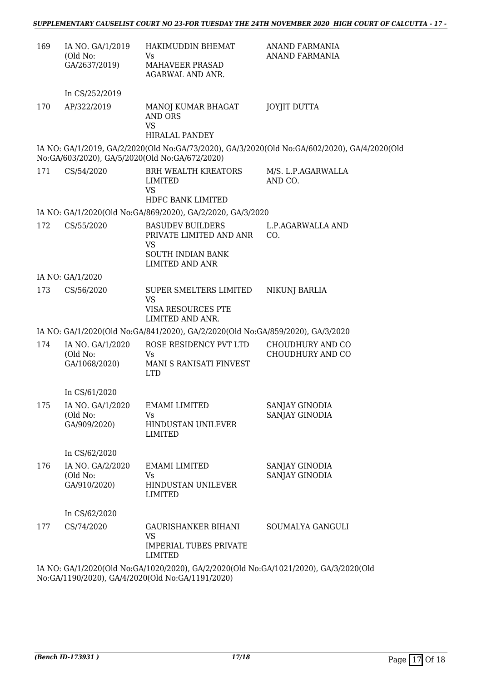| 169 | IA NO. GA/1/2019<br>(Old No: | HAKIMUDDIN BHEMAT<br>Vs                                                                                                                  | ANAND FARMANIA<br>ANAND FARMANIA                                                             |
|-----|------------------------------|------------------------------------------------------------------------------------------------------------------------------------------|----------------------------------------------------------------------------------------------|
|     | GA/2637/2019)                | MAHAVEER PRASAD<br>AGARWAL AND ANR.                                                                                                      |                                                                                              |
|     | In CS/252/2019               |                                                                                                                                          |                                                                                              |
| 170 | AP/322/2019                  | MANOJ KUMAR BHAGAT<br>AND ORS<br><b>VS</b>                                                                                               | <b>JOYJIT DUTTA</b>                                                                          |
|     |                              | HIRALAL PANDEY                                                                                                                           |                                                                                              |
|     |                              | No:GA/603/2020), GA/5/2020(Old No:GA/672/2020)                                                                                           | IA NO: GA/1/2019, GA/2/2020(Old No:GA/73/2020), GA/3/2020(Old No:GA/602/2020), GA/4/2020(Old |
| 171 | CS/54/2020                   | <b>BRH WEALTH KREATORS</b><br>LIMITED<br><b>VS</b>                                                                                       | M/S. L.P.AGARWALLA<br>AND CO.                                                                |
|     |                              | HDFC BANK LIMITED                                                                                                                        |                                                                                              |
|     |                              | IA NO: GA/1/2020(Old No:GA/869/2020), GA/2/2020, GA/3/2020                                                                               |                                                                                              |
| 172 | CS/55/2020                   | <b>BASUDEV BUILDERS</b><br>PRIVATE LIMITED AND ANR<br>VS                                                                                 | L.P.AGARWALLA AND<br>CO.                                                                     |
|     |                              | <b>SOUTH INDIAN BANK</b><br><b>LIMITED AND ANR</b>                                                                                       |                                                                                              |
|     | IA NO: GA/1/2020             |                                                                                                                                          |                                                                                              |
| 173 | CS/56/2020                   | SUPER SMELTERS LIMITED<br><b>VS</b>                                                                                                      | <b>NIKUNJ BARLIA</b>                                                                         |
|     |                              | VISA RESOURCES PTE<br>LIMITED AND ANR.                                                                                                   |                                                                                              |
|     |                              | IA NO: GA/1/2020(Old No:GA/841/2020), GA/2/2020(Old No:GA/859/2020), GA/3/2020                                                           |                                                                                              |
| 174 | IA NO. GA/1/2020             | ROSE RESIDENCY PVT LTD                                                                                                                   | CHOUDHURY AND CO                                                                             |
|     | (Old No:<br>GA/1068/2020)    | Vs<br>MANI S RANISATI FINVEST<br><b>LTD</b>                                                                                              | CHOUDHURY AND CO                                                                             |
|     | In CS/61/2020                |                                                                                                                                          |                                                                                              |
| 175 | IA NO. GA/1/2020             | <b>EMAMI LIMITED</b>                                                                                                                     | SANJAY GINODIA                                                                               |
|     | (Old No:<br>GA/909/2020)     | Vs<br><b>HINDUSTAN UNILEVER</b><br><b>LIMITED</b>                                                                                        | SANJAY GINODIA                                                                               |
|     | In CS/62/2020                |                                                                                                                                          |                                                                                              |
| 176 | IA NO. GA/2/2020             | <b>EMAMI LIMITED</b>                                                                                                                     | SANJAY GINODIA                                                                               |
|     | (Old No:<br>GA/910/2020)     | Vs<br>HINDUSTAN UNILEVER<br><b>LIMITED</b>                                                                                               | SANJAY GINODIA                                                                               |
|     | In CS/62/2020                |                                                                                                                                          |                                                                                              |
| 177 | CS/74/2020                   | <b>GAURISHANKER BIHANI</b><br>VS                                                                                                         | SOUMALYA GANGULI                                                                             |
|     |                              | <b>IMPERIAL TUBES PRIVATE</b><br><b>LIMITED</b>                                                                                          |                                                                                              |
|     |                              | IA NO: GA/1/2020(Old No:GA/1020/2020), GA/2/2020(Old No:GA/1021/2020), GA/3/2020(Old<br>No:GA/1190/2020), GA/4/2020(Old No:GA/1191/2020) |                                                                                              |